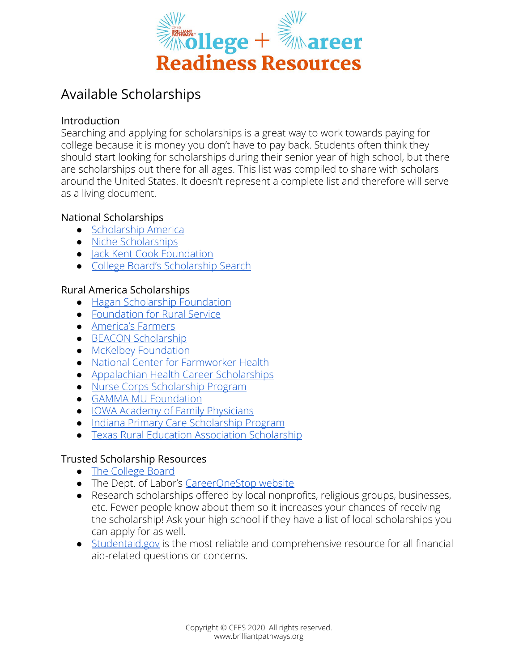

# Available Scholarships

#### Introduction

Searching and applying for scholarships is a great way to work towards paying for college because it is money you don't have to pay back. Students often think they should start looking for scholarships during their senior year of high school, but there are scholarships out there for all ages. This list was compiled to share with scholars around the United States. It doesn't represent a complete list and therefore will serve as a living document.

## National Scholarships

- [Scholarship America](https://scholarshipamerica.org/)
- [Niche Scholarships](https://www.niche.com/colleges/scholarships/)
- [Jack Kent Cook Foundation](https://www.jkcf.org/our-scholarships/)
- [College Board's Scholarship Search](https://bigfuture.collegeboard.org/scholarship-search)

## Rural America Scholarships

- [Hagan Scholarship Foundation](https://haganscholarships.org/)
- [Foundation for Rural Service](https://www.frs.org/programs/youth-programs/scholarships)
- [America's Farmers](https://www.americasfarmers.com/grow-ag-leaders/)
- [BEACON Scholarship](https://carrot-top.com/beacon-scholarship)
- [McKelbey Foundation](http://www.mckelveyfoundation.org/eligible.html)
- [National Center for Farmworker Health](http://www.ncfh.org/scholarships.html)
- [Appalachian Health Career Scholarships](https://cedik.ca.uky.edu/app-health-scholarship)
- [Nurse Corps Scholarship Program](https://bhw.hrsa.gov/loans-scholarships/nurse-corps/scholarship)
- **[GAMMA MU Foundation](https://gammamufoundation.org/overview/)**
- [IOWA Academy of Family Physicians](http://iaafp.org/scholarships/)
- [Indiana Primary Care Scholarship Program](https://md.mednet.iu.edu/support-services/financial-aid/service-connected-scholarships/)
- [Texas Rural Education Association Scholarship](https://www.txrea.com/26097_1)

## Trusted Scholarship Resources

- [The College Board](https://www.collegeboard.org/)
- The Dept. of Labor's [CareerOneStop website](https://www.careeronestop.org/)
- Research scholarships offered by local nonprofits, religious groups, businesses, etc. Fewer people know about them so it increases your chances of receiving the scholarship! Ask your high school if they have a list of local scholarships you can apply for as well.
- [Studentaid.gov](https://studentaid.gov/) is the most reliable and comprehensive resource for all financial aid-related questions or concerns.